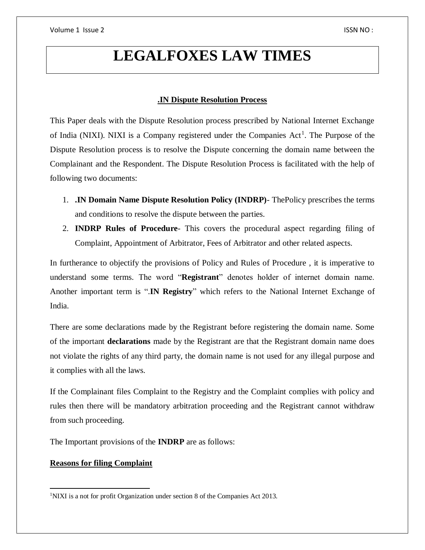# **LEGALFOXES LAW TIMES**

## **.IN Dispute Resolution Process**

This Paper deals with the Dispute Resolution process prescribed by National Internet Exchange of India (NIXI). NIXI is a Company registered under the Companies Act<sup>1</sup>. The Purpose of the Dispute Resolution process is to resolve the Dispute concerning the domain name between the Complainant and the Respondent. The Dispute Resolution Process is facilitated with the help of following two documents:

- 1. **.IN Domain Name Dispute Resolution Policy (INDRP)** ThePolicy prescribes the terms and conditions to resolve the dispute between the parties.
- 2. **INDRP Rules of Procedure** This covers the procedural aspect regarding filing of Complaint, Appointment of Arbitrator, Fees of Arbitrator and other related aspects.

In furtherance to objectify the provisions of Policy and Rules of Procedure , it is imperative to understand some terms. The word "**Registrant**" denotes holder of internet domain name. Another important term is ".**IN Registry**" which refers to the National Internet Exchange of India.

There are some declarations made by the Registrant before registering the domain name. Some of the important **declarations** made by the Registrant are that the Registrant domain name does not violate the rights of any third party, the domain name is not used for any illegal purpose and it complies with all the laws.

If the Complainant files Complaint to the Registry and the Complaint complies with policy and rules then there will be mandatory arbitration proceeding and the Registrant cannot withdraw from such proceeding.

The Important provisions of the **INDRP** are as follows:

## **Reasons for filing Complaint**

 $\overline{a}$ <sup>1</sup>NIXI is a not for profit Organization under section 8 of the Companies Act 2013.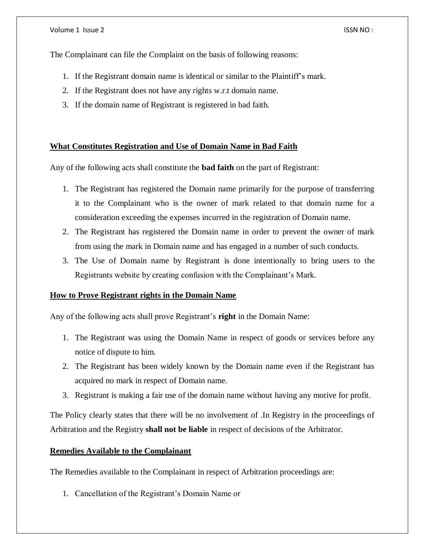The Complainant can file the Complaint on the basis of following reasons:

- 1. If the Registrant domain name is identical or similar to the Plaintiff's mark.
- 2. If the Registrant does not have any rights w.r.t domain name.
- 3. If the domain name of Registrant is registered in bad faith.

## **What Constitutes Registration and Use of Domain Name in Bad Faith**

Any of the following acts shall constitute the **bad faith** on the part of Registrant:

- 1. The Registrant has registered the Domain name primarily for the purpose of transferring it to the Complainant who is the owner of mark related to that domain name for a consideration exceeding the expenses incurred in the registration of Domain name.
- 2. The Registrant has registered the Domain name in order to prevent the owner of mark from using the mark in Domain name and has engaged in a number of such conducts.
- 3. The Use of Domain name by Registrant is done intentionally to bring users to the Registrants website by creating confusion with the Complainant's Mark.

## **How to Prove Registrant rights in the Domain Name**

Any of the following acts shall prove Registrant's **right** in the Domain Name:

- 1. The Registrant was using the Domain Name in respect of goods or services before any notice of dispute to him.
- 2. The Registrant has been widely known by the Domain name even if the Registrant has acquired no mark in respect of Domain name.
- 3. Registrant is making a fair use of the domain name without having any motive for profit.

The Policy clearly states that there will be no involvement of .In Registry in the proceedings of Arbitration and the Registry **shall not be liable** in respect of decisions of the Arbitrator.

## **Remedies Available to the Complainant**

The Remedies available to the Complainant in respect of Arbitration proceedings are:

1. Cancellation of the Registrant's Domain Name or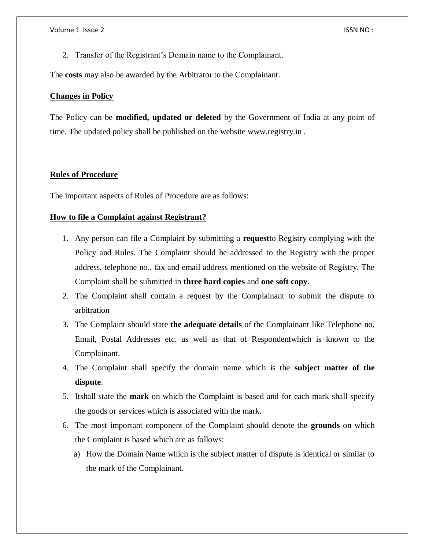2. Transfer of the Registrant's Domain name to the Complainant.

The **costs** may also be awarded by the Arbitrator to the Complainant.

## **Changes in Policy**

The Policy can be **modified, updated or deleted** by the Government of India at any point of time. The updated policy shall be published on the website www.registry.in .

## **Rules of Procedure**

The important aspects of Rules of Procedure are as follows:

## **How to file a Complaint against Registrant?**

- 1. Any person can file a Complaint by submitting a **request**to Registry complying with the Policy and Rules. The Complaint should be addressed to the Registry with the proper address, telephone no., fax and email address mentioned on the website of Registry. The Complaint shall be submitted in **three hard copies** and **one soft copy**.
- 2. The Complaint shall contain a request by the Complainant to submit the dispute to arbitration
- 3. The Complaint should state **the adequate details** of the Complainant like Telephone no, Email, Postal Addresses etc. as well as that of Respondentwhich is known to the Complainant.
- 4. The Complaint shall specify the domain name which is the **subject matter of the dispute**.
- 5. Itshall state the **mark** on which the Complaint is based and for each mark shall specify the goods or services which is associated with the mark.
- 6. The most important component of the Complaint should denote the **grounds** on which the Complaint is based which are as follows:
	- a) How the Domain Name which is the subject matter of dispute is identical or similar to the mark of the Complainant.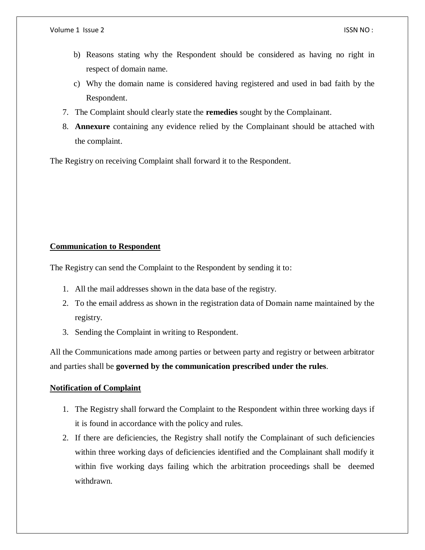- b) Reasons stating why the Respondent should be considered as having no right in respect of domain name.
- c) Why the domain name is considered having registered and used in bad faith by the Respondent.
- 7. The Complaint should clearly state the **remedies** sought by the Complainant.
- 8. **Annexure** containing any evidence relied by the Complainant should be attached with the complaint.

The Registry on receiving Complaint shall forward it to the Respondent.

## **Communication to Respondent**

The Registry can send the Complaint to the Respondent by sending it to:

- 1. All the mail addresses shown in the data base of the registry.
- 2. To the email address as shown in the registration data of Domain name maintained by the registry.
- 3. Sending the Complaint in writing to Respondent.

All the Communications made among parties or between party and registry or between arbitrator and parties shall be **governed by the communication prescribed under the rules**.

## **Notification of Complaint**

- 1. The Registry shall forward the Complaint to the Respondent within three working days if it is found in accordance with the policy and rules.
- 2. If there are deficiencies, the Registry shall notify the Complainant of such deficiencies within three working days of deficiencies identified and the Complainant shall modify it within five working days failing which the arbitration proceedings shall be deemed withdrawn.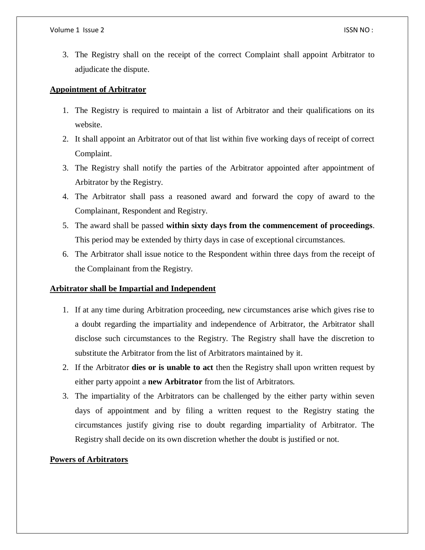3. The Registry shall on the receipt of the correct Complaint shall appoint Arbitrator to adjudicate the dispute.

## **Appointment of Arbitrator**

- 1. The Registry is required to maintain a list of Arbitrator and their qualifications on its website.
- 2. It shall appoint an Arbitrator out of that list within five working days of receipt of correct Complaint.
- 3. The Registry shall notify the parties of the Arbitrator appointed after appointment of Arbitrator by the Registry.
- 4. The Arbitrator shall pass a reasoned award and forward the copy of award to the Complainant, Respondent and Registry.
- 5. The award shall be passed **within sixty days from the commencement of proceedings**. This period may be extended by thirty days in case of exceptional circumstances.
- 6. The Arbitrator shall issue notice to the Respondent within three days from the receipt of the Complainant from the Registry.

## **Arbitrator shall be Impartial and Independent**

- 1. If at any time during Arbitration proceeding, new circumstances arise which gives rise to a doubt regarding the impartiality and independence of Arbitrator, the Arbitrator shall disclose such circumstances to the Registry. The Registry shall have the discretion to substitute the Arbitrator from the list of Arbitrators maintained by it.
- 2. If the Arbitrator **dies or is unable to act** then the Registry shall upon written request by either party appoint a **new Arbitrator** from the list of Arbitrators.
- 3. The impartiality of the Arbitrators can be challenged by the either party within seven days of appointment and by filing a written request to the Registry stating the circumstances justify giving rise to doubt regarding impartiality of Arbitrator. The Registry shall decide on its own discretion whether the doubt is justified or not.

## **Powers of Arbitrators**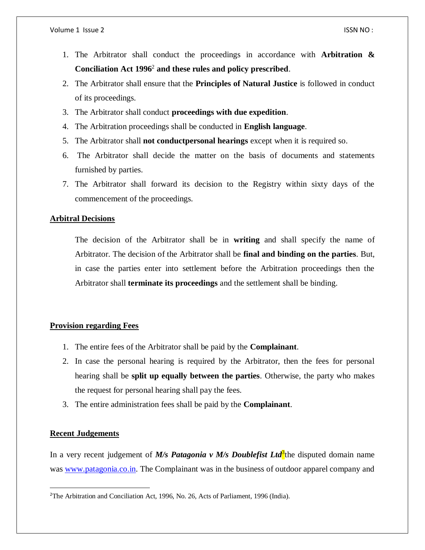- 1. The Arbitrator shall conduct the proceedings in accordance with **Arbitration & Conciliation Act 1996**<sup>2</sup> **and these rules and policy prescribed**.
- 2. The Arbitrator shall ensure that the **Principles of Natural Justice** is followed in conduct of its proceedings.
- 3. The Arbitrator shall conduct **proceedings with due expedition**.
- 4. The Arbitration proceedings shall be conducted in **English language**.
- 5. The Arbitrator shall **not conductpersonal hearings** except when it is required so.
- 6. The Arbitrator shall decide the matter on the basis of documents and statements furnished by parties.
- 7. The Arbitrator shall forward its decision to the Registry within sixty days of the commencement of the proceedings.

## **Arbitral Decisions**

The decision of the Arbitrator shall be in **writing** and shall specify the name of Arbitrator. The decision of the Arbitrator shall be **final and binding on the parties**. But, in case the parties enter into settlement before the Arbitration proceedings then the Arbitrator shall **terminate its proceedings** and the settlement shall be binding.

## **Provision regarding Fees**

- 1. The entire fees of the Arbitrator shall be paid by the **Complainant**.
- 2. In case the personal hearing is required by the Arbitrator, then the fees for personal hearing shall be **split up equally between the parties**. Otherwise, the party who makes the request for personal hearing shall pay the fees.
- 3. The entire administration fees shall be paid by the **Complainant**.

## **Recent Judgements**

 $\overline{a}$ 

In a very recent judgement of *M/s Patagonia v M/s Doublefist Ltd*<sup>3</sup>the disputed domain name was [www.patagonia.co.in.](http://www.patagonia.co.in/) The Complainant was in the business of outdoor apparel company and

<sup>2</sup>The Arbitration and Conciliation Act, 1996, No. 26, Acts of Parliament, 1996 (India).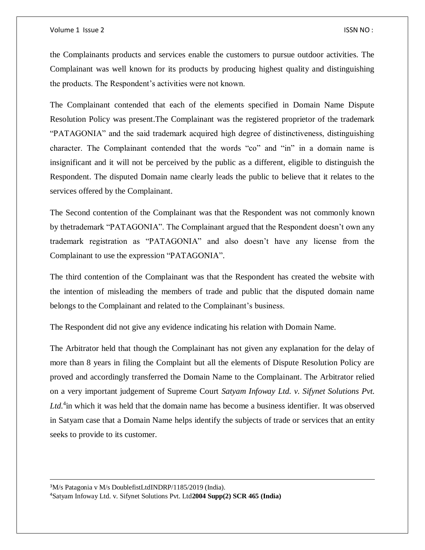#### Volume 1 Issue 2 ISSN NO :

 $\overline{\phantom{a}}$ 

the Complainants products and services enable the customers to pursue outdoor activities. The Complainant was well known for its products by producing highest quality and distinguishing the products. The Respondent's activities were not known.

The Complainant contended that each of the elements specified in Domain Name Dispute Resolution Policy was present.The Complainant was the registered proprietor of the trademark "PATAGONIA" and the said trademark acquired high degree of distinctiveness, distinguishing character. The Complainant contended that the words "co" and "in" in a domain name is insignificant and it will not be perceived by the public as a different, eligible to distinguish the Respondent. The disputed Domain name clearly leads the public to believe that it relates to the services offered by the Complainant.

The Second contention of the Complainant was that the Respondent was not commonly known by thetrademark "PATAGONIA". The Complainant argued that the Respondent doesn't own any trademark registration as "PATAGONIA" and also doesn't have any license from the Complainant to use the expression "PATAGONIA".

The third contention of the Complainant was that the Respondent has created the website with the intention of misleading the members of trade and public that the disputed domain name belongs to the Complainant and related to the Complainant's business.

The Respondent did not give any evidence indicating his relation with Domain Name.

The Arbitrator held that though the Complainant has not given any explanation for the delay of more than 8 years in filing the Complaint but all the elements of Dispute Resolution Policy are proved and accordingly transferred the Domain Name to the Complainant. The Arbitrator relied on a very important judgement of Supreme Court *Satyam Infoway Ltd. v. Sifynet Solutions Pvt.*  Ltd.<sup>4</sup> in which it was held that the domain name has become a business identifier. It was observed in Satyam case that a Domain Name helps identify the subjects of trade or services that an entity seeks to provide to its customer.

<sup>3</sup>M/s Patagonia v M/s DoublefistLtdINDRP/1185/2019 (India). 4Satyam Infoway Ltd. v. Sifynet Solutions Pvt. Ltd**2004 Supp(2) SCR 465 (India)**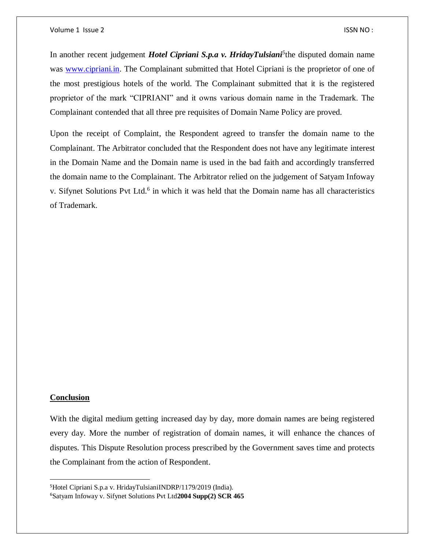In another recent judgement *Hotel Cipriani S.p.a v. HridayTulsiani<sup>5</sup>* the disputed domain name was [www.cipriani.in.](http://www.cipriani.in/) The Complainant submitted that Hotel Cipriani is the proprietor of one of the most prestigious hotels of the world. The Complainant submitted that it is the registered proprietor of the mark "CIPRIANI" and it owns various domain name in the Trademark. The Complainant contended that all three pre requisites of Domain Name Policy are proved.

Upon the receipt of Complaint, the Respondent agreed to transfer the domain name to the Complainant. The Arbitrator concluded that the Respondent does not have any legitimate interest in the Domain Name and the Domain name is used in the bad faith and accordingly transferred the domain name to the Complainant. The Arbitrator relied on the judgement of Satyam Infoway v. Sifynet Solutions Pvt Ltd.<sup>6</sup> in which it was held that the Domain name has all characteristics of Trademark.

## **Conclusion**

 $\overline{\phantom{a}}$ 

With the digital medium getting increased day by day, more domain names are being registered every day. More the number of registration of domain names, it will enhance the chances of disputes. This Dispute Resolution process prescribed by the Government saves time and protects the Complainant from the action of Respondent.

<sup>5</sup>Hotel Cipriani S.p.a v. HridayTulsianiINDRP/1179/2019 (India).

<sup>6</sup>Satyam Infoway v. Sifynet Solutions Pvt Ltd**2004 Supp(2) SCR 465**